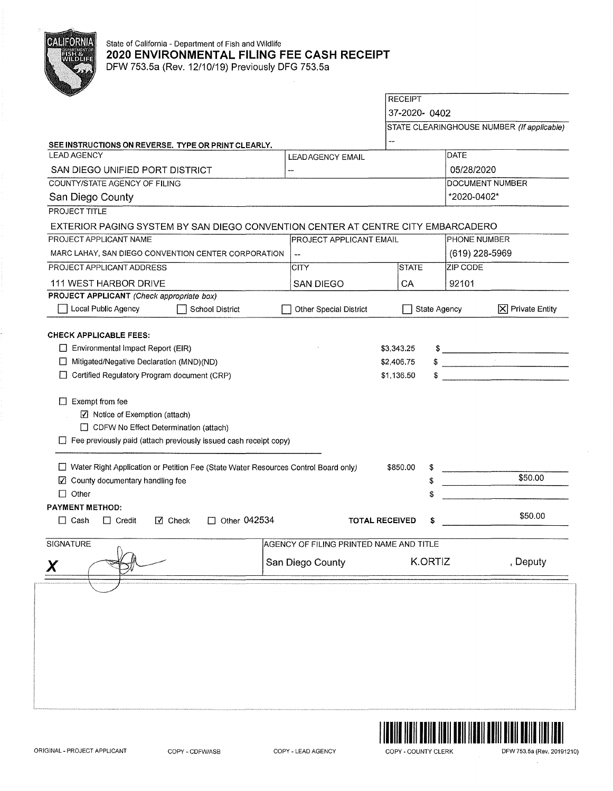

## State of California - Department of Fish and Wildlife **2020 ENVIRONMENTAL FILING FEE CASH RECEIPT**  DFW 753.5a (Rev. 12/10/19) Previously DFG 753.5a

**RECEIPT** 37-2020- 0402 STATE CLEARINGHOUSE NUMBER (If applicable) **SEE INSTRUCTIONS ON REVERSE. TYPE OR PRINT CLEARLY.**  LEAD AGENCY **DATE** LEADAGENCY EMAIL SAN DIEGO UNIFIED PORT DISTRICT 05/28/2020 COUNTY/STATE AGENCY OF FILING DOCUMENT NUMBER \*2020-0402\* San Diego County PROJECT TITLE EXTERIOR PAGING SYSTEM BY SAN DIEGO CONVENTION CENTER AT CENTRE CITY EMBARCADERO PROJECT APPLICANT NAME **PROJECT APPLICANT EMAIL** PHONE NUMBER MARC LAHAY, SAN DIEGO CONVENTION CENTER CORPORATION |-PROJECT APPLICANT ADDRESS **CITY STATE** ZIP CODE 111 WEST HARBOR DRIVE SAN DIEGO **CA** 92101  $\overline{1}$ **PROJECT APPLICANT** (Check appropriate box) D Local Public Agency District Other Special District □ State Agency **X** Private Entity **CHECK APPLICABLE FEES:**   $\frac{1}{2}$  $\Box$  Environmental Impact Report (EIR) \$3,343.25  $\begin{array}{c|c|c|c|c|c} \ast & \multicolumn{2}{c|}{\bullet} & \multicolumn{2}{c|}{\bullet} & \multicolumn{2}{c|}{\bullet} & \multicolumn{2}{c|}{\bullet} & \multicolumn{2}{c|}{\bullet} & \multicolumn{2}{c|}{\bullet} & \multicolumn{2}{c|}{\bullet} & \multicolumn{2}{c|}{\bullet} & \multicolumn{2}{c|}{\bullet} & \multicolumn{2}{c|}{\bullet} & \multicolumn{2}{c|}{\bullet} & \multicolumn{2}{c|}{\bullet} & \multicolumn{2}{c|}{\bullet} & \multicolumn{2}{c|}{\bullet} & \multicolumn$ D Mitigated/Negative Declaration (MND)(ND) \$2,406.75 \$ \_\_\_\_\_\_\_\_\_\_ \_ □ Certified Regulatory Program document (CRP) \$1,136.50  $\Box$  Exempt from fee  $\boxtimes$  Notice of Exemption (attach) D CDFW No Effect Determination (attach)  $\Box$  Fee previously paid (attach previously issued cash receipt copy) D Water Right Application or Petition Fee (State Water Resources Control Board only) \$850.00 \$50.00 IZI County documentary handling fee \$  $\Box$  Other \$ **PAYMENT METHOD:**  D Cash D Credit Ill Check D Other 042534 **TOTAL RECEIVED** \$ \$50.00 SIGNATURE AGENCY OF FILING PRINTED NAME AND TITLE San Diego County K.ORTIZ , Deputy

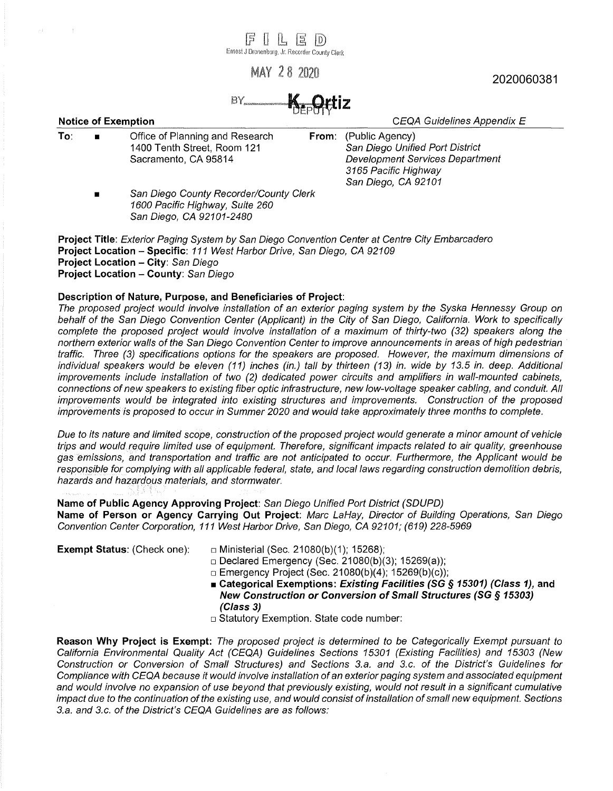$\parallel$   $\parallel$   $\parallel$   $\parallel$   $\parallel$ Ernest J Dronenburg, Jr. Recorder County Clerk

MAY 28 2020

**K.** Ortiz  $BY$ 

**Notice of Exemption Notice of Exemption** *CEQA Guidelines Appendix E* 

- 
- **To:**  Office of Planning and Research 1400 Tenth Street, Room 121 Sacramento, CA 95814
- **From:** (Public Agency) San Diego Unified Port District Development Services Department 3165 Pacific Highway San Diego, CA 92101
- San Diego County Recorder/County Clerk 1600 Pacific Highway, Suite 260 San Diego, CA 92101-2480

**Project Title:** Exterior Paging System by San Diego Convention Center at Centre City Embarcadero **Project Location - Specific:** 111 West Harbor Drive, San Diego, CA 92109 **Project Location - City:** San Diego **Project Location - County:** San Diego

## **Description of Nature, Purpose, and Beneficiaries of Project:**

The proposed project would involve installation of an exterior paging system by the Syska Hennessy Group on behalf of the San Diego Convention Center (Applicant) in the City of San Diego, California. Work to specifically complete the proposed project would involve installation of a maximum of thirty-two (32) speakers along the northern exterior walls of the San Diego Convention Center to improve announcements in areas of high pedestrian · traffic. Three (3) specifications options for the speakers are proposed. However, the maximum dimensions of individual speakers would be eleven (11) inches (in.) tall by thirteen (13) in. wide by 13.5 in. deep. Additional improvements include installation of two (2) dedicated power circuits and amplifiers in wall-mounted cabinets, connections of new speakers to existing fiber optic infrastructure, new low-voltage speaker cabling, and conduit. All improvements would be integrated into existing structures and improvements. Construction of the proposed improvements is proposed to occur in Summer 2020 and would take approximately three months to complete.

Due to its nature and limited scope, construction of the proposed project would generate a minor amount of vehicle trips and would require limited use of equipment. Therefore, significant impacts related to air quality, greenhouse gas emissions, and transportation and traffic are not anticipated to occur. Furthermore, the Applicant would be responsible for complying with all applicable federal, state, and local laws regarding construction demolition debris, hazards and hazardous materials, and stormwater.

**Name of Public Agency Approving Project:** San Diego Unified Port District (SDUPD) **Name of Person or Agency Carrying Out Project:** Marc LaHay, Director of Building Operations, San Diego Convention Center Corporation, 111 West Harbor Drive, San Diego, CA 92101; (619) 228-5969

- **Exempt Status:** (Check one): □ Ministerial (Sec. 21080(b)(1); 15268);
	- □ Declared Emergency (Sec. 21080(b)(3); 15269(a));
	- $\Box$  Emergency Project (Sec. 21080(b)(4); 15269(b)(c));
	- Categorical Exemptions: Existing Facilities (SG § 15301) (Class 1), and **New Construction or Conversion of Small Structures (SG § 15303) (Class 3)**
	- □ Statutory Exemption. State code number:

**Reason Why Project is Exempt:** The proposed project is determined to be Categorically Exempt pursuant to California Environmental Quality Act (CEQA) Guidelines Sections 15301 (Existing Facilities) and 15303 (New Construction or Conversion of Small Structures) and Sections 3.a. and 3.c. of the District's Guidelines for Compliance with CEQA because it would involve installation of an exterior paging system and associated equipment and would involve no expansion of use beyond that previously existing, would not result in a significant cumulative impact due to the continuation of the existing use, and would consist of installation of small new equipment. Sections 3.a. and 3.c. of the District's CEQA Guidelines are as follows:

2020060381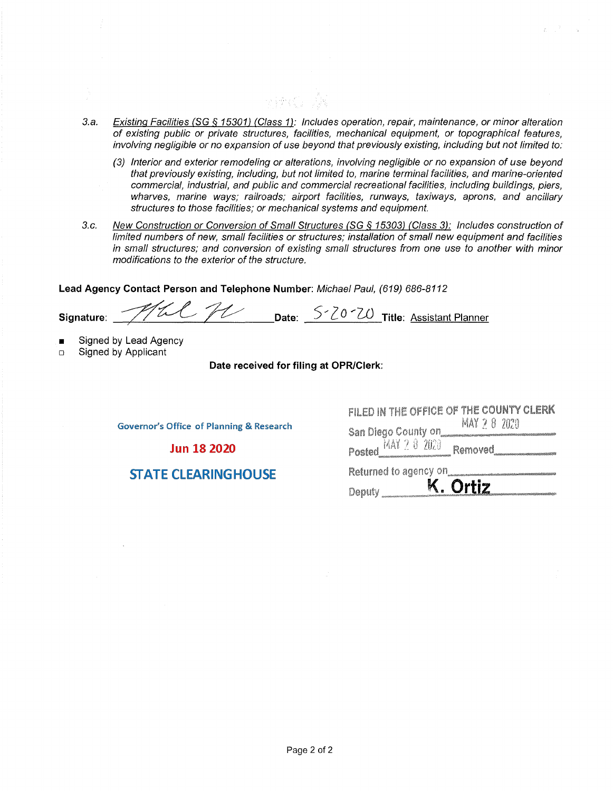3.a. Existing Facilities (SG § 15301) (Class 1): Includes operation, repair, maintenance, or minor alteration of existing public or private structures, facilities, mechanical equipment, or topographical features, involving negligible or no expansion of use beyond that previously existing, including but not limited to:

าง (ช่างมี) - เนื้อ

- (3) Interior and exterior remodeling or alterations, involving negligible or no expansion of use beyond that previously existing, including, but not limited to, marine terminal facilities, and marine-oriented commercial, industrial, and public and commercial recreational facilities, including buildings, piers, wharves, marine ways; railroads; airport facilities, runways, taxiways, aprons, and ancillary structures to those facilities; or mechanical systems and equipment.
- 3.c. New Construction or Conversion of Small Structures (SG § 15303) (Class 3): Includes construction of limited numbers of new, small facilities or structures; installation of small new equipment and facilities in small structures; and conversion of existing small structures from one use to another with minor modifications to the exterior of the structure.

**Lead Agency Contact Person and Telephone Number:** Michael Paul, (619) 686-8112

Signature: <u>212 TU Date: S.20.20 Title: Assistant Planner</u>

- Signed by Lead Agency
- o Signed by Applicant

## **Date received for filing at QPR/Clerk:**

**Governor's Office of Planning & Research** 

**Jun 18 2020** 

**STATE CLEARINGHOUSE** 

| FILED IN THE OFFICE OF THE COUNTY CLERK<br>MAY 2 8 2020<br>San Diego County on<br>44444444444555944654844445<br>Posted MAY 2 8 2020<br>Removed |
|------------------------------------------------------------------------------------------------------------------------------------------------|
| Returned to agency on                                                                                                                          |
| Ortiz<br>Deputy                                                                                                                                |